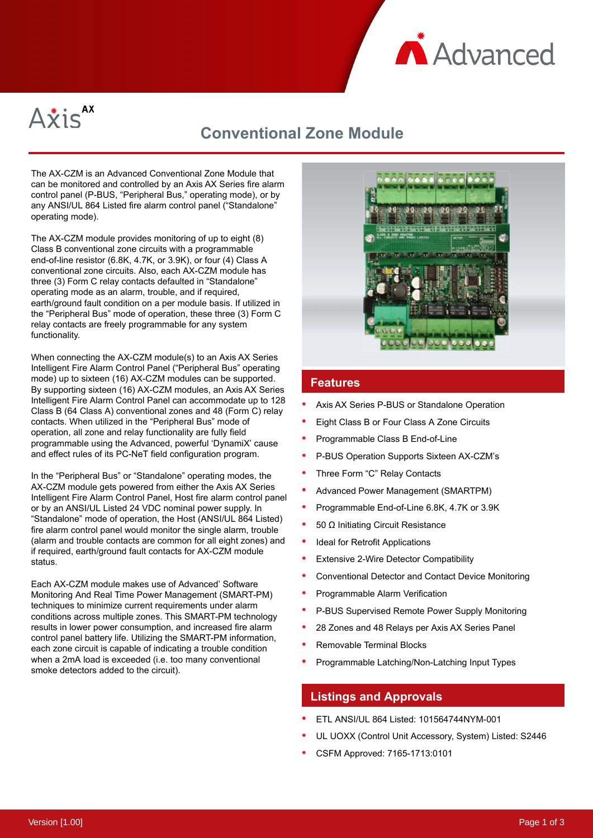



## **Conventional Zone Module**

The AX-CZM is an Advanced Conventional Zone Module that can be monitored and controlled by an Axis AX Series fire alarm control panel (P-BUS, "Peripheral Bus," operating mode), or by any ANSI/UL 864 Listed fire alarm control panel ("Standalone" operating mode).

The AX-CZM module provides monitoring of up to eight (8) Class B conventional zone circuits with a programmable end-of-line resistor (6.8K, 4.7K, or 3.9K), or four (4) Class A conventional zone circuits. Also, each AX-CZM module has three (3) Form C relay contacts defaulted in "Standalone" operating mode as an alarm, trouble, and if required, earth/ground fault condition on a per module basis. If utilized in the "Peripheral Bus" mode of operation, these three (3) Form C relay contacts are freely programmable for any system functionality.

When connecting the AX-CZM module(s) to an Axis AX Series Intelligent Fire Alarm Control Panel ("Peripheral Bus" operating mode) up to sixteen (16) AX-CZM modules can be supported. By supporting sixteen (16) AX-CZM modules, an Axis AX Series Intelligent Fire Alarm Control Panel can accommodate up to 128 Class B (64 Class A) conventional zones and 48 (Form C) relay contacts. When utilized in the "Peripheral Bus" mode of operation, all zone and relay functionality are fully field programmable using the Advanced, powerful 'DynamiX' cause and effect rules of its PC-NeT field configuration program.

In the "Peripheral Bus" or "Standalone" operating modes, the AX-CZM module gets powered from either the Axis AX Series Intelligent Fire Alarm Control Panel, Host fire alarm control panel or by an ANSI/UL Listed 24 VDC nominal power supply. In "Standalone" mode of operation, the Host (ANSI/UL 864 Listed) fire alarm control panel would monitor the single alarm, trouble (alarm and trouble contacts are common for all eight zones) and if required, earth/ground fault contacts for AX-CZM module status.

Each AX-CZM module makes use of Advanced' Software Monitoring And Real Time Power Management (SMART-PM) techniques to minimize current requirements under alarm conditions across multiple zones. This SMART-PM technology results in lower power consumption, and increased fire alarm control panel battery life. Utilizing the SMART-PM information, each zone circuit is capable of indicating a trouble condition when a 2mA load is exceeded (i.e. too many conventional smoke detectors added to the circuit).



## **Features**

- Axis AX Series P-BUS or Standalone Operation
- Eight Class B or Four Class A Zone Circuits
- Programmable Class B End-of-Line
- P-BUS Operation Supports Sixteen AX-CZM's
- Three Form "C" Relay Contacts
- Advanced Power Management (SMARTPM)
- Programmable End-of-Line 6.8K, 4.7K or 3.9K
- 50 Ω Initiating Circuit Resistance
- Ideal for Retrofit Applications
- Extensive 2-Wire Detector Compatibility
- Conventional Detector and Contact Device Monitoring
- Programmable Alarm Verification
- P-BUS Supervised Remote Power Supply Monitoring
- 28 Zones and 48 Relays per Axis AX Series Panel
- Removable Terminal Blocks
- Programmable Latching/Non-Latching Input Types

## **Listings and Approvals**

- ETL ANSI/UL 864 Listed: 101564744NYM-001
- UL UOXX (Control Unit Accessory, System) Listed: S2446
- CSFM Approved: 7165-1713:0101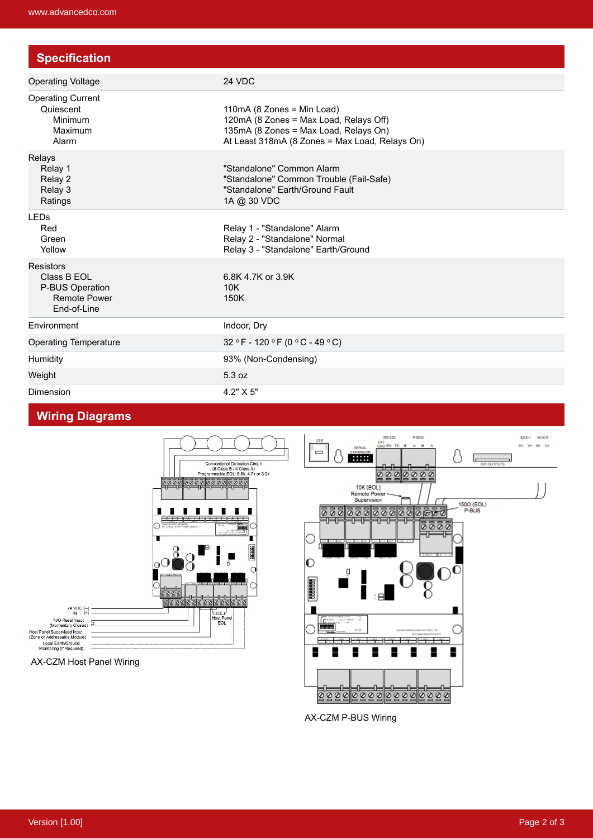| <b>Specification</b>                                                                     |                                                                                                                                                                 |
|------------------------------------------------------------------------------------------|-----------------------------------------------------------------------------------------------------------------------------------------------------------------|
| <b>Operating Voltage</b>                                                                 | 24 VDC                                                                                                                                                          |
| <b>Operating Current</b><br>Quiescent<br>Minimum<br>Maximum<br>Alarm                     | 110mA (8 Zones = Min Load)<br>120mA (8 Zones = Max Load, Relays Off)<br>135mA (8 Zones = Max Load, Relays On)<br>At Least 318mA (8 Zones = Max Load, Relays On) |
| Relays<br>Relay 1<br>Relay 2<br>Relay 3<br>Ratings                                       | "Standalone" Common Alarm<br>"Standalone" Common Trouble (Fail-Safe)<br>"Standalone" Earth/Ground Fault<br>1A @ 30 VDC                                          |
| <b>LEDs</b><br>Red<br>Green<br>Yellow                                                    | Relay 1 - "Standalone" Alarm<br>Relay 2 - "Standalone" Normal<br>Relay 3 - "Standalone" Earth/Ground                                                            |
| <b>Resistors</b><br>Class B EOL<br>P-BUS Operation<br><b>Remote Power</b><br>End-of-Line | 6.8K 4.7K or 3.9K<br>10K<br>150K                                                                                                                                |
| Environment                                                                              | Indoor, Dry                                                                                                                                                     |
| <b>Operating Temperature</b>                                                             | $32 °F - 120 °F (0 °C - 49 °C)$                                                                                                                                 |
| Humidity                                                                                 | 93% (Non-Condensing)                                                                                                                                            |
| Weight                                                                                   | 5.3 oz                                                                                                                                                          |
| Dimension                                                                                | $4.2" \times 5"$                                                                                                                                                |

## **Wiring Diagrams**





AX-CZM P-BUS Wiring